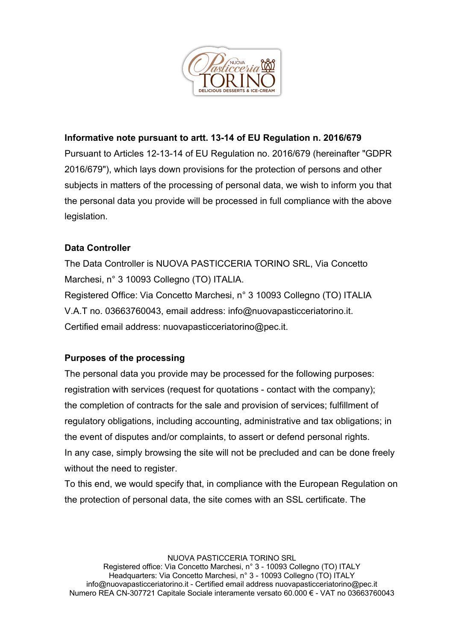

### **Informative note pursuant to artt. 13-14 of EU Regulation n. 2016/679**

Pursuant to Articles 12-13-14 of EU Regulation no. 2016/679 (hereinafter "GDPR 2016/679"), which lays down provisions for the protection of persons and other subjects in matters of the processing of personal data, we wish to inform you that the personal data you provide will be processed in full compliance with the above legislation.

# **Data Controller**

The Data Controller is NUOVA PASTICCERIA TORINO SRL, Via Concetto Marchesi, n° 3 10093 Collegno (TO) ITALIA. Registered Office: Via Concetto Marchesi, n° 3 10093 Collegno (TO) ITALIA V.A.T no. 03663760043, email address: info@nuovapasticceriatorino.it. Certified email address: nuovapasticceriatorino@pec.it.

### **Purposes of the processing**

The personal data you provide may be processed for the following purposes: registration with services (request for quotations - contact with the company): the completion of contracts for the sale and provision of services; fulfillment of regulatory obligations, including accounting, administrative and tax obligations; in the event of disputes and/or complaints, to assert or defend personal rights. In any case, simply browsing the site will not be precluded and can be done freely without the need to register.

To this end, we would specify that, in compliance with the European Regulation on the protection of personal data, the site comes with an SSL certificate. The

NUOVA PASTICCERIA TORINO SRL

Registered office: Via Concetto Marchesi, n° 3 - 10093 Collegno (TO) ITALY Headquarters: Via Concetto Marchesi, n° 3 - 10093 Collegno (TO) ITALY info@nuovapasticceriatorino.it - Certified email address nuovapasticceriatorino@pec.it Numero REA CN-307721 Capitale Sociale interamente versato 60.000 € - VAT no 03663760043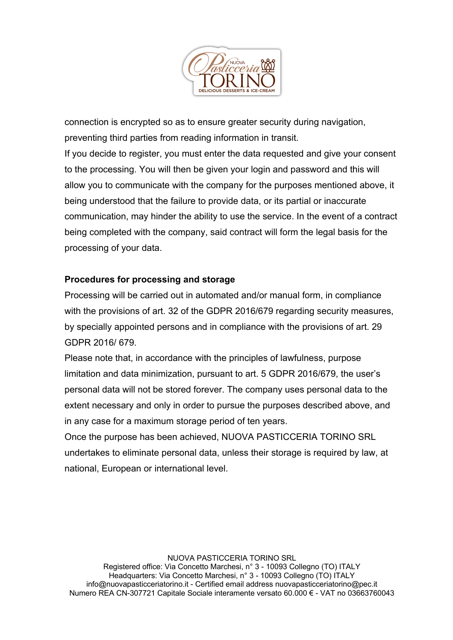

connection is encrypted so as to ensure greater security during navigation, preventing third parties from reading information in transit. If you decide to register, you must enter the data requested and give your consent to the processing. You will then be given your login and password and this will allow you to communicate with the company for the purposes mentioned above, it being understood that the failure to provide data, or its partial or inaccurate communication, may hinder the ability to use the service. In the event of a contract being completed with the company, said contract will form the legal basis for the processing of your data.

## **Procedures for processing and storage**

Processing will be carried out in automated and/or manual form, in compliance with the provisions of art. 32 of the GDPR 2016/679 regarding security measures, by specially appointed persons and in compliance with the provisions of art. 29 GDPR 2016/ 679.

Please note that, in accordance with the principles of lawfulness, purpose limitation and data minimization, pursuant to art. 5 GDPR 2016/679, the user's personal data will not be stored forever. The company uses personal data to the extent necessary and only in order to pursue the purposes described above, and in any case for a maximum storage period of ten years.

Once the purpose has been achieved, NUOVA PASTICCERIA TORINO SRL undertakes to eliminate personal data, unless their storage is required by law, at national, European or international level.

NUOVA PASTICCERIA TORINO SRL

Registered office: Via Concetto Marchesi, n° 3 - 10093 Collegno (TO) ITALY Headquarters: Via Concetto Marchesi, n° 3 - 10093 Collegno (TO) ITALY info@nuovapasticceriatorino.it - Certified email address nuovapasticceriatorino@pec.it Numero REA CN-307721 Capitale Sociale interamente versato 60.000 € - VAT no 03663760043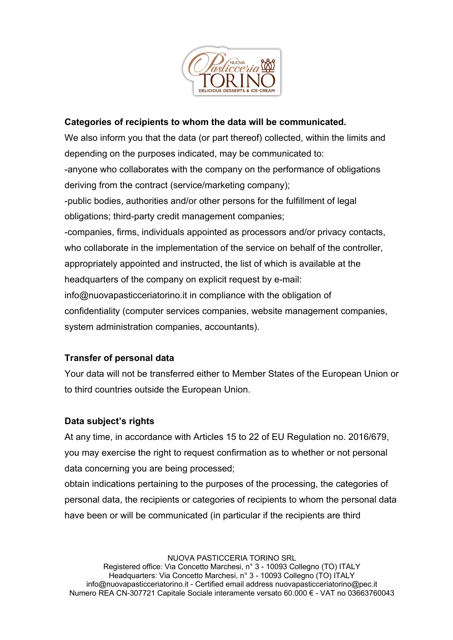

### **Categories of recipients to whom the data will be communicated.**

We also inform you that the data (or part thereof) collected, within the limits and depending on the purposes indicated, may be communicated to: -anyone who collaborates with the company on the performance of obligations deriving from the contract (service/marketing company); -public bodies, authorities and/or other persons for the fulfillment of legal obligations; third-party credit management companies; -companies, firms, individuals appointed as processors and/or privacy contacts, who collaborate in the implementation of the service on behalf of the controller, appropriately appointed and instructed, the list of which is available at the headquarters of the company on explicit request by e-mail: info@nuovapasticceriatorino.it in compliance with the obligation of confidentiality (computer services companies, website management companies, system administration companies, accountants).

### **Transfer of personal data**

Your data will not be transferred either to Member States of the European Union or to third countries outside the European Union.

### **Data subject's rights**

At any time, in accordance with Articles 15 to 22 of EU Regulation no. 2016/679, you may exercise the right to request confirmation as to whether or not personal data concerning you are being processed;

obtain indications pertaining to the purposes of the processing, the categories of personal data, the recipients or categories of recipients to whom the personal data have been or will be communicated (in particular if the recipients are third

NUOVA PASTICCERIA TORINO SRL

Registered office: Via Concetto Marchesi, n° 3 - 10093 Collegno (TO) ITALY Headquarters: Via Concetto Marchesi, n° 3 - 10093 Collegno (TO) ITALY info@nuovapasticceriatorino.it - Certified email address nuovapasticceriatorino@pec.it Numero REA CN-307721 Capitale Sociale interamente versato 60.000 € - VAT no 03663760043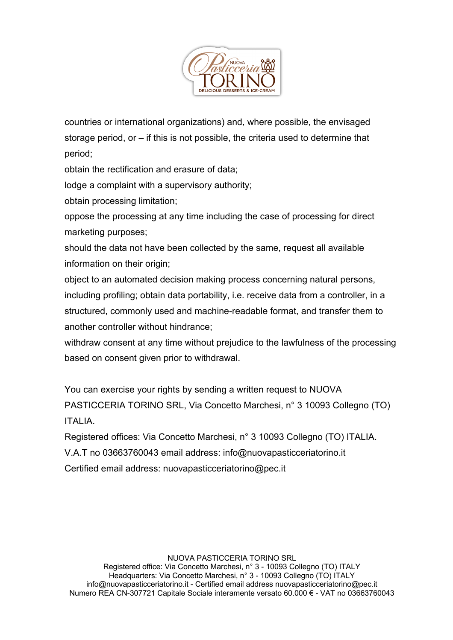

countries or international organizations) and, where possible, the envisaged storage period, or – if this is not possible, the criteria used to determine that period;

obtain the rectification and erasure of data;

lodge a complaint with a supervisory authority;

obtain processing limitation;

oppose the processing at any time including the case of processing for direct marketing purposes;

should the data not have been collected by the same, request all available information on their origin:

object to an automated decision making process concerning natural persons, including profiling; obtain data portability, i.e. receive data from a controller, in a structured, commonly used and machine-readable format, and transfer them to another controller without hindrance;

withdraw consent at any time without prejudice to the lawfulness of the processing based on consent given prior to withdrawal.

You can exercise your rights by sending a written request to NUOVA PASTICCERIA TORINO SRL, Via Concetto Marchesi, n° 3 10093 Collegno (TO) ITALIA.

Registered offices: Via Concetto Marchesi, n° 3 10093 Collegno (TO) ITALIA. V.A.T no 03663760043 email address: info@nuovapasticceriatorino.it Certified email address: nuovapasticceriatorino@pec.it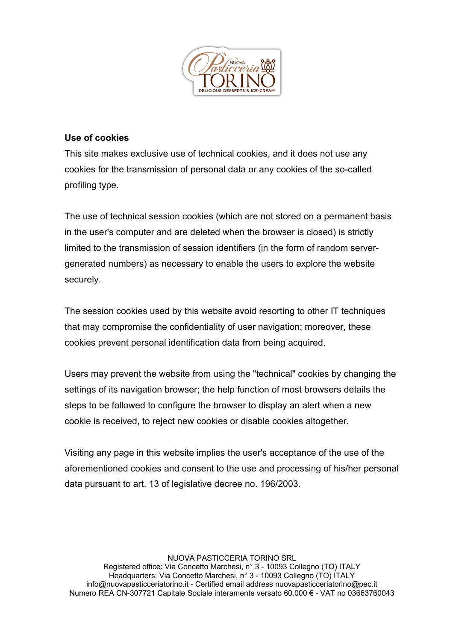

### **Use of cookies**

This site makes exclusive use of technical cookies, and it does not use any cookies for the transmission of personal data or any cookies of the so-called profiling type.

The use of technical session cookies (which are not stored on a permanent basis in the user's computer and are deleted when the browser is closed) is strictly limited to the transmission of session identifiers (in the form of random servergenerated numbers) as necessary to enable the users to explore the website securely.

The session cookies used by this website avoid resorting to other IT techniques that may compromise the confidentiality of user navigation; moreover, these cookies prevent personal identification data from being acquired.

Users may prevent the website from using the "technical" cookies by changing the settings of its navigation browser; the help function of most browsers details the steps to be followed to configure the browser to display an alert when a new cookie is received, to reject new cookies or disable cookies altogether.

Visiting any page in this website implies the user's acceptance of the use of the aforementioned cookies and consent to the use and processing of his/her personal data pursuant to art. 13 of legislative decree no. 196/2003.

NUOVA PASTICCERIA TORINO SRL Registered office: Via Concetto Marchesi, n° 3 - 10093 Collegno (TO) ITALY Headquarters: Via Concetto Marchesi, n° 3 - 10093 Collegno (TO) ITALY info@nuovapasticceriatorino.it - Certified email address nuovapasticceriatorino@pec.it Numero REA CN-307721 Capitale Sociale interamente versato 60.000 € - VAT no 03663760043